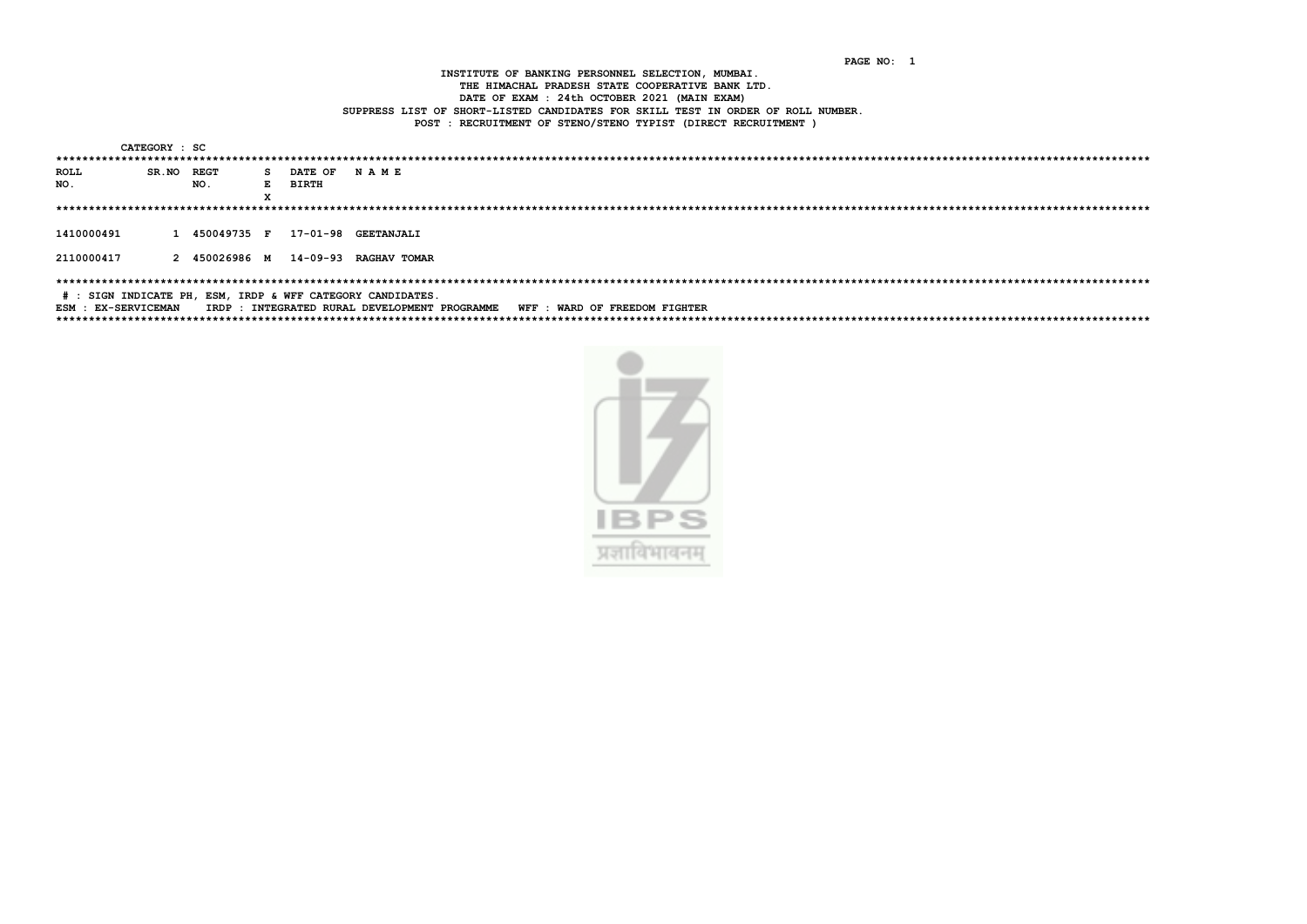PAGE NO: 1

INSTITUTE OF BANKING PERSONNEL SELECTION, MUMBAI. THE HIMACHAL PRADESH STATE COOPERATIVE BANK LTD. DATE OF EXAM : 24th OCTOBER 2021 (MAIN EXAM) SUPPRESS LIST OF SHORT-LISTED CANDIDATES FOR SKILL TEST IN ORDER OF ROLL NUMBER. POST : RECRUITMENT OF STENO/STENO TYPIST (DIRECT RECRUITMENT )

CATEGORY : SC

|                                                                                                  | --------- |               |   |                |                       |  |  |  |  |  |
|--------------------------------------------------------------------------------------------------|-----------|---------------|---|----------------|-----------------------|--|--|--|--|--|
|                                                                                                  |           |               |   |                |                       |  |  |  |  |  |
| <b>ROLL</b>                                                                                      | SR.NO     | REGT          |   | S DATE OF NAME |                       |  |  |  |  |  |
| NO.                                                                                              |           | NO.           | E | <b>BIRTH</b>   |                       |  |  |  |  |  |
|                                                                                                  |           |               | x |                |                       |  |  |  |  |  |
|                                                                                                  |           |               |   |                |                       |  |  |  |  |  |
| 1410000491                                                                                       |           | 1 450049735 F |   |                | 17-01-98 GEETANJALI   |  |  |  |  |  |
| 2110000417                                                                                       |           | 2 450026986 м |   |                | 14-09-93 RAGHAV TOMAR |  |  |  |  |  |
| # : SIGN INDICATE PH, ESM, IRDP & WFF CATEGORY CANDIDATES.                                       |           |               |   |                |                       |  |  |  |  |  |
| IRDP: INTEGRATED RURAL DEVELOPMENT PROGRAMME WFF: WARD OF FREEDOM FIGHTER<br>ESM : EX-SERVICEMAN |           |               |   |                |                       |  |  |  |  |  |
|                                                                                                  |           |               |   |                |                       |  |  |  |  |  |